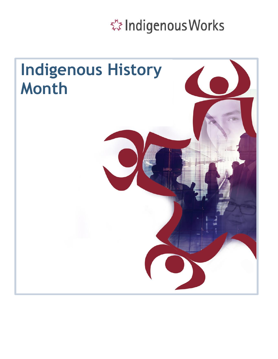※ Indigenous Works

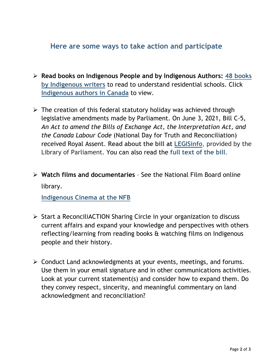## **Here are some ways to take action and participate**

- **Read books on Indigenous People and by Indigenous Authors: 48 books by Indigenous writers** to read to understand residential schools. Click **Indigenous authors in Canada** to view.
- $\triangleright$  The creation of this federal statutory holiday was achieved through legislative amendments made by Parliament. On June 3, 2021, Bill C-5, *An Act to amend the Bills of Exchange Act, the Interpretation Act, and the Canada Labour Code* (National Day for Truth and Reconciliation) received Royal Assent. **Read about the bill at [LEGISinfo](http://www.parl.gc.ca/LegisInfo/BillDetails.aspx?Language=E&Mode=1&Bill=C5&Parl=43&Ses=2)**, provided by the Library of Parliament. You can also read the **[full text of the bill](http://parl.gc.ca/HousePublications/Publication.aspx?Language=E&Mode=1&DocId=11396261)**.
- **Watch films and documentaries** See the National Film Board online library.

**Indigenous Cinema at the NFB**

- [Start a ReconciliACTION Sharin](https://www.google.com/search?q=indigenous+authors+canada&rlz=1C1CHBD_enCA872CA873&oq=Indigenous+authors&aqs=chrome.1.0i512l10.13544j0j4&sourceid=chrome&ie=UTF-8)g Circle in your organization to discuss current affairs and expand your knowledge and perspectives with others reflecting/learning from reading books & watching films on Indigenous people and their history.
- $\triangleright$  Conduct Land acknowledgments at your events, meetings, and forums. Use them in your email signature and in other communications activities. Look at your current statement(s) and consider how to expand them. Do they convey respect, sincerity, and meaningful commentary on land acknowledgment and reconciliation?